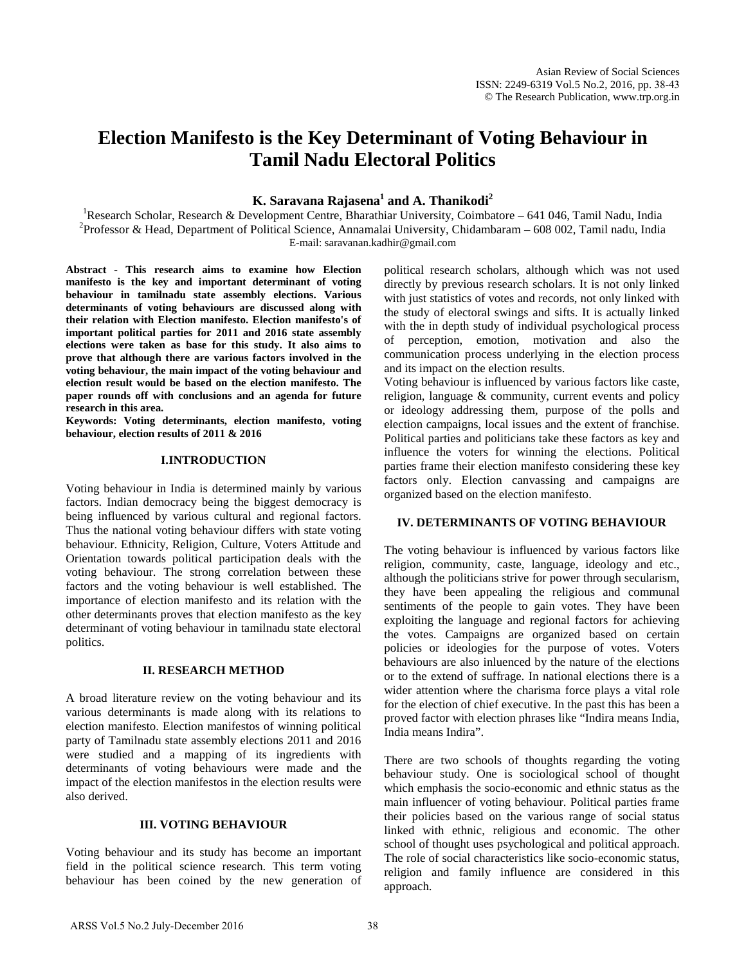# **Election Manifesto is the Key Determinant of Voting Behaviour in Tamil Nadu Electoral Politics**

**K. Saravana Rajasena1 and A. Thanikodi 2**

<sup>1</sup>Research Scholar, Research & Development Centre, Bharathiar University, Coimbatore – 641 046, Tamil Nadu, India<br><sup>2</sup>Professor & Hoad, Department of Political Science, Annamalai University, Chidambaram, 608,002, Tamil na <sup>2</sup> Professor & Head, Department of Political Science, Annamalai University, Chidambaram – 608 002, Tamil nadu, India E-mail: saravanan.kadhir@gmail.com

**Abstract - This research aims to examine how Election manifesto is the key and important determinant of voting behaviour in tamilnadu state assembly elections. Various determinants of voting behaviours are discussed along with their relation with Election manifesto. Election manifesto's of important political parties for 2011 and 2016 state assembly elections were taken as base for this study. It also aims to prove that although there are various factors involved in the voting behaviour, the main impact of the voting behaviour and election result would be based on the election manifesto. The paper rounds off with conclusions and an agenda for future research in this area.**

**Keywords: Voting determinants, election manifesto, voting behaviour, election results of 2011 & 2016**

#### **I.INTRODUCTION**

Voting behaviour in India is determined mainly by various factors. Indian democracy being the biggest democracy is being influenced by various cultural and regional factors. Thus the national voting behaviour differs with state voting behaviour. Ethnicity, Religion, Culture, Voters Attitude and Orientation towards political participation deals with the voting behaviour. The strong correlation between these factors and the voting behaviour is well established. The importance of election manifesto and its relation with the other determinants proves that election manifesto as the key determinant of voting behaviour in tamilnadu state electoral politics.

#### **II. RESEARCH METHOD**

A broad literature review on the voting behaviour and its various determinants is made along with its relations to election manifesto. Election manifestos of winning political party of Tamilnadu state assembly elections 2011 and 2016 were studied and a mapping of its ingredients with determinants of voting behaviours were made and the impact of the election manifestos in the election results were also derived.

### **III. VOTING BEHAVIOUR**

Voting behaviour and its study has become an important field in the political science research. This term voting behaviour has been coined by the new generation of

political research scholars, although which was not used directly by previous research scholars. It is not only linked with just statistics of votes and records, not only linked with the study of electoral swings and sifts. It is actually linked with the in depth study of individual psychological process of perception, emotion, motivation and also the communication process underlying in the election process and its impact on the election results.

Voting behaviour is influenced by various factors like caste, religion, language & community, current events and policy or ideology addressing them, purpose of the polls and election campaigns, local issues and the extent of franchise. Political parties and politicians take these factors as key and influence the voters for winning the elections. Political parties frame their election manifesto considering these key factors only. Election canvassing and campaigns are organized based on the election manifesto.

#### **IV. DETERMINANTS OF VOTING BEHAVIOUR**

The voting behaviour is influenced by various factors like religion, community, caste, language, ideology and etc., although the politicians strive for power through secularism, they have been appealing the religious and communal sentiments of the people to gain votes. They have been exploiting the language and regional factors for achieving the votes. Campaigns are organized based on certain policies or ideologies for the purpose of votes. Voters behaviours are also inluenced by the nature of the elections or to the extend of suffrage. In national elections there is a wider attention where the charisma force plays a vital role for the election of chief executive. In the past this has been a proved factor with election phrases like "Indira means India, India means Indira".

There are two schools of thoughts regarding the voting behaviour study. One is sociological school of thought which emphasis the socio-economic and ethnic status as the main influencer of voting behaviour. Political parties frame their policies based on the various range of social status linked with ethnic, religious and economic. The other school of thought uses psychological and political approach. The role of social characteristics like socio-economic status, religion and family influence are considered in this approach.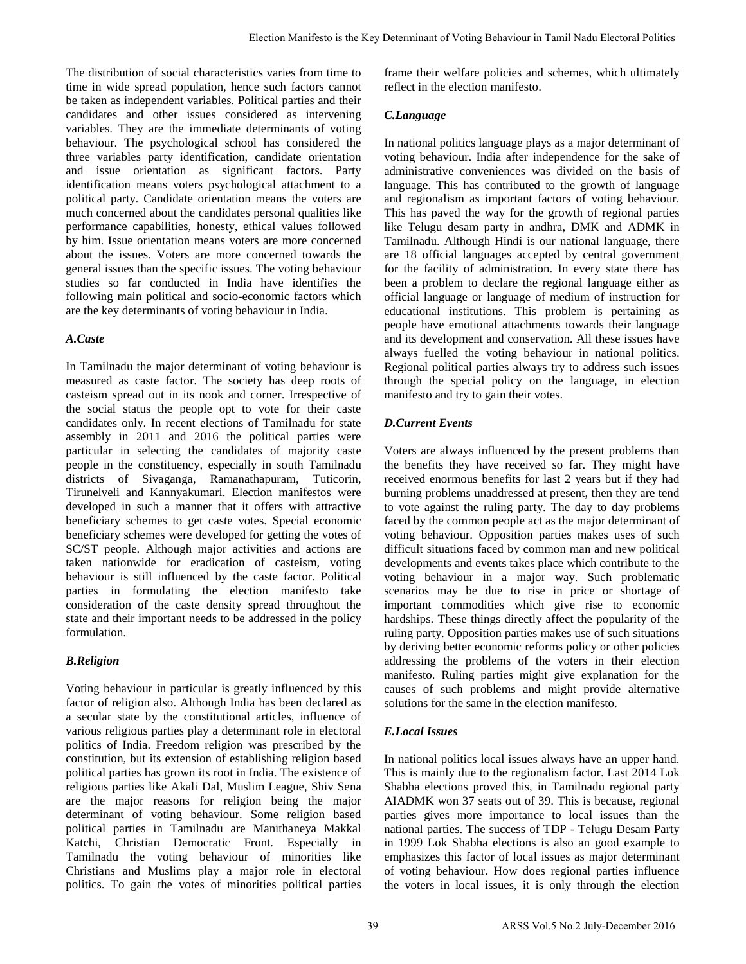The distribution of social characteristics varies from time to time in wide spread population, hence such factors cannot be taken as independent variables. Political parties and their candidates and other issues considered as intervening variables. They are the immediate determinants of voting behaviour. The psychological school has considered the three variables party identification, candidate orientation and issue orientation as significant factors. Party identification means voters psychological attachment to a political party. Candidate orientation means the voters are much concerned about the candidates personal qualities like performance capabilities, honesty, ethical values followed by him. Issue orientation means voters are more concerned about the issues. Voters are more concerned towards the general issues than the specific issues. The voting behaviour studies so far conducted in India have identifies the following main political and socio-economic factors which are the key determinants of voting behaviour in India.

#### *A.Caste*

In Tamilnadu the major determinant of voting behaviour is measured as caste factor. The society has deep roots of casteism spread out in its nook and corner. Irrespective of the social status the people opt to vote for their caste candidates only. In recent elections of Tamilnadu for state assembly in 2011 and 2016 the political parties were particular in selecting the candidates of majority caste people in the constituency, especially in south Tamilnadu districts of Sivaganga, Ramanathapuram, Tuticorin, Tirunelveli and Kannyakumari. Election manifestos were developed in such a manner that it offers with attractive beneficiary schemes to get caste votes. Special economic beneficiary schemes were developed for getting the votes of SC/ST people. Although major activities and actions are taken nationwide for eradication of casteism, voting behaviour is still influenced by the caste factor. Political parties in formulating the election manifesto take consideration of the caste density spread throughout the state and their important needs to be addressed in the policy formulation.

## *B.Religion*

Voting behaviour in particular is greatly influenced by this factor of religion also. Although India has been declared as a secular state by the constitutional articles, influence of various religious parties play a determinant role in electoral politics of India. Freedom religion was prescribed by the constitution, but its extension of establishing religion based political parties has grown its root in India. The existence of religious parties like Akali Dal, Muslim League, Shiv Sena are the major reasons for religion being the major determinant of voting behaviour. Some religion based political parties in Tamilnadu are Manithaneya Makkal Katchi, Christian Democratic Front. Especially in Tamilnadu the voting behaviour of minorities like Christians and Muslims play a major role in electoral politics. To gain the votes of minorities political parties

frame their welfare policies and schemes, which ultimately reflect in the election manifesto.

## *C.Language*

In national politics language plays as a major determinant of voting behaviour. India after independence for the sake of administrative conveniences was divided on the basis of language. This has contributed to the growth of language and regionalism as important factors of voting behaviour. This has paved the way for the growth of regional parties like Telugu desam party in andhra, DMK and ADMK in Tamilnadu. Although Hindi is our national language, there are 18 official languages accepted by central government for the facility of administration. In every state there has been a problem to declare the regional language either as official language or language of medium of instruction for educational institutions. This problem is pertaining as people have emotional attachments towards their language and its development and conservation. All these issues have always fuelled the voting behaviour in national politics. Regional political parties always try to address such issues through the special policy on the language, in election manifesto and try to gain their votes. Figure Manifesto is the Key Determune of Voting Rehaviour in Tamil Nadu Theston Marius of states (interminant of the Manimed Determinant of the Manimed Determinant of the Continent politics and schemes. Which this contine

## *D.Current Events*

Voters are always influenced by the present problems than the benefits they have received so far. They might have received enormous benefits for last 2 years but if they had burning problems unaddressed at present, then they are tend to vote against the ruling party. The day to day problems faced by the common people act as the major determinant of voting behaviour. Opposition parties makes uses of such difficult situations faced by common man and new political developments and events takes place which contribute to the voting behaviour in a major way. Such problematic scenarios may be due to rise in price or shortage of important commodities which give rise to economic hardships. These things directly affect the popularity of the ruling party. Opposition parties makes use of such situations by deriving better economic reforms policy or other policies addressing the problems of the voters in their election manifesto. Ruling parties might give explanation for the causes of such problems and might provide alternative solutions for the same in the election manifesto.

## *E.Local Issues*

In national politics local issues always have an upper hand. This is mainly due to the regionalism factor. Last 2014 Lok Shabha elections proved this, in Tamilnadu regional party AIADMK won 37 seats out of 39. This is because, regional parties gives more importance to local issues than the national parties. The success of TDP - Telugu Desam Party in 1999 Lok Shabha elections is also an good example to emphasizes this factor of local issues as major determinant of voting behaviour. How does regional parties influence the voters in local issues, it is only through the election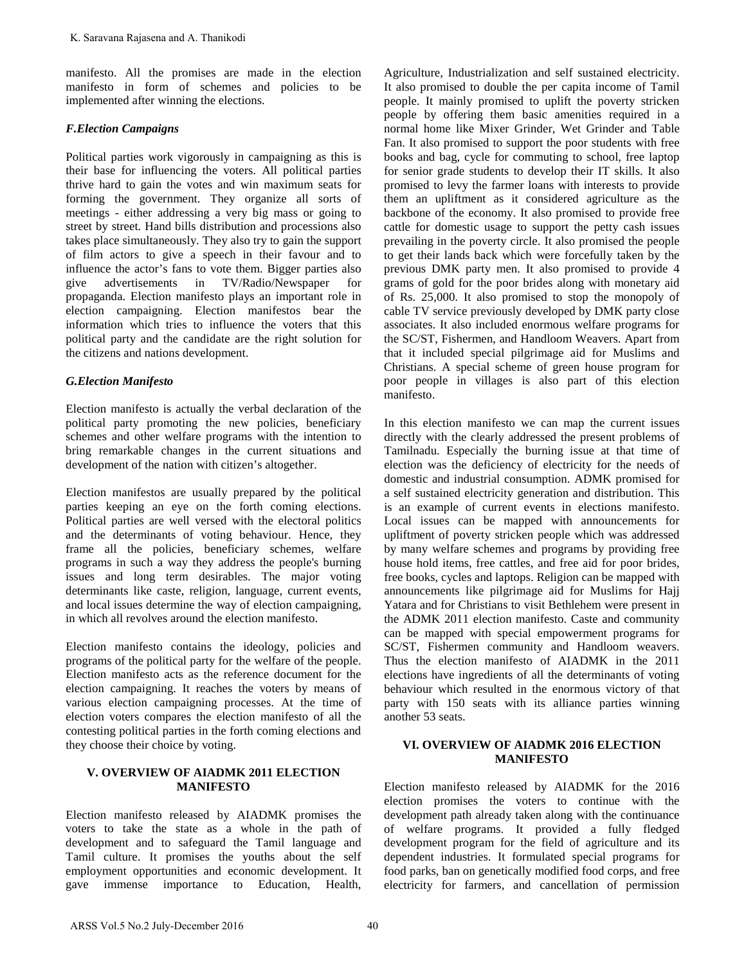manifesto. All the promises are made in the election manifesto in form of schemes and policies to be implemented after winning the elections.

#### *F.Election Campaigns*

Political parties work vigorously in campaigning as this is their base for influencing the voters. All political parties thrive hard to gain the votes and win maximum seats for forming the government. They organize all sorts of meetings - either addressing a very big mass or going to street by street. Hand bills distribution and processions also takes place simultaneously. They also try to gain the support of film actors to give a speech in their favour and to influence the actor's fans to vote them. Bigger parties also give advertisements in TV/Radio/Newspaper for propaganda. Election manifesto plays an important role in election campaigning. Election manifestos bear the information which tries to influence the voters that this political party and the candidate are the right solution for the citizens and nations development. K. Saravana Rajasena and A. Thankodi<br>
Miche promises are made in the election<br>
manifesto. All the promises are made policies to be<br>
manifesto. All the promises are made policies to be<br> *S. Reteima Campagnus*<br> *C. Reteima* 

#### *G.Election Manifesto*

Election manifesto is actually the verbal declaration of the political party promoting the new policies, beneficiary schemes and other welfare programs with the intention to bring remarkable changes in the current situations and development of the nation with citizen's altogether.

Election manifestos are usually prepared by the political parties keeping an eye on the forth coming elections. Political parties are well versed with the electoral politics and the determinants of voting behaviour. Hence, they frame all the policies, beneficiary schemes, welfare programs in such a way they address the people's burning issues and long term desirables. The major voting determinants like caste, religion, language, current events, and local issues determine the way of election campaigning, in which all revolves around the election manifesto.

Election manifesto contains the ideology, policies and programs of the political party for the welfare of the people. Election manifesto acts as the reference document for the election campaigning. It reaches the voters by means of various election campaigning processes. At the time of election voters compares the election manifesto of all the contesting political parties in the forth coming elections and they choose their choice by voting.

#### **V. OVERVIEW OF AIADMK 2011 ELECTION MANIFESTO**

Election manifesto released by AIADMK promises the voters to take the state as a whole in the path of development and to safeguard the Tamil language and Tamil culture. It promises the youths about the self employment opportunities and economic development. It gave immense importance to Education, Health,

Agriculture, Industrialization and self sustained electricity. It also promised to double the per capita income of Tamil people. It mainly promised to uplift the poverty stricken people by offering them basic amenities required in a normal home like Mixer Grinder, Wet Grinder and Table Fan. It also promised to support the poor students with free books and bag, cycle for commuting to school, free laptop for senior grade students to develop their IT skills. It also promised to levy the farmer loans with interests to provide them an upliftment as it considered agriculture as the backbone of the economy. It also promised to provide free cattle for domestic usage to support the petty cash issues prevailing in the poverty circle. It also promised the people to get their lands back which were forcefully taken by the previous DMK party men. It also promised to provide 4 grams of gold for the poor brides along with monetary aid of Rs. 25,000. It also promised to stop the monopoly of cable TV service previously developed by DMK party close associates. It also included enormous welfare programs for the SC/ST, Fishermen, and Handloom Weavers. Apart from that it included special pilgrimage aid for Muslims and Christians. A special scheme of green house program for poor people in villages is also part of this election manifesto.

In this election manifesto we can map the current issues directly with the clearly addressed the present problems of Tamilnadu. Especially the burning issue at that time of election was the deficiency of electricity for the needs of domestic and industrial consumption. ADMK promised for a self sustained electricity generation and distribution. This is an example of current events in elections manifesto. Local issues can be mapped with announcements for upliftment of poverty stricken people which was addressed by many welfare schemes and programs by providing free house hold items, free cattles, and free aid for poor brides, free books, cycles and laptops. Religion can be mapped with announcements like pilgrimage aid for Muslims for Hajj Yatara and for Christians to visit Bethlehem were present in the ADMK 2011 election manifesto. Caste and community can be mapped with special empowerment programs for SC/ST, Fishermen community and Handloom weavers. Thus the election manifesto of AIADMK in the 2011 elections have ingredients of all the determinants of voting behaviour which resulted in the enormous victory of that party with 150 seats with its alliance parties winning another 53 seats.

#### **VI. OVERVIEW OF AIADMK 2016 ELECTION MANIFESTO**

Election manifesto released by AIADMK for the 2016 election promises the voters to continue with the development path already taken along with the continuance of welfare programs. It provided a fully fledged development program for the field of agriculture and its dependent industries. It formulated special programs for food parks, ban on genetically modified food corps, and free electricity for farmers, and cancellation of permission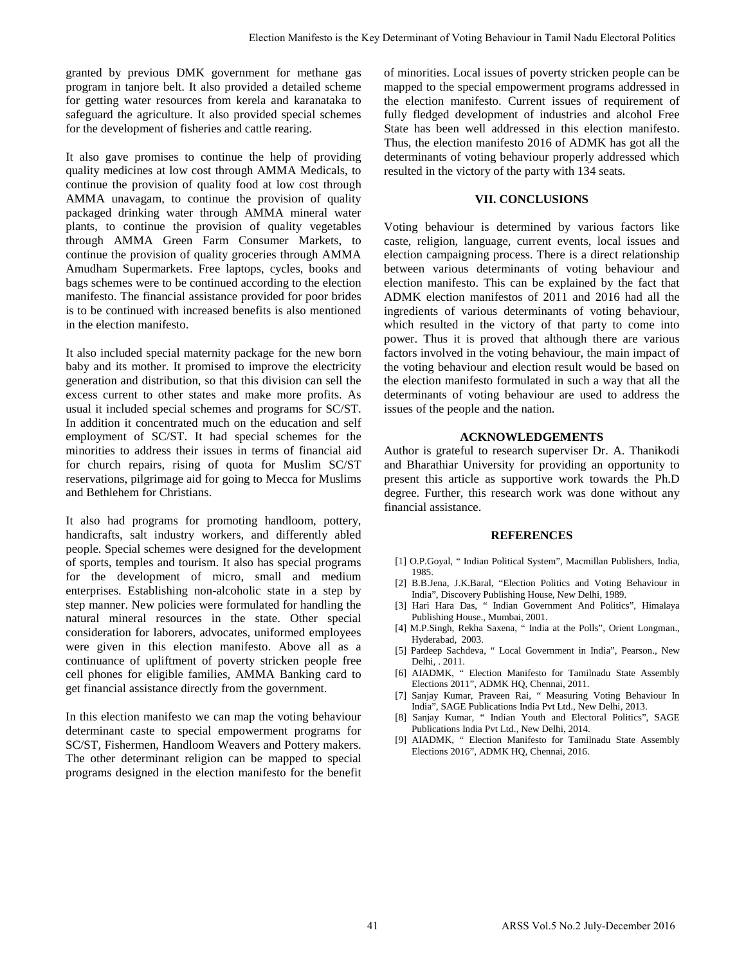granted by previous DMK government for methane gas program in tanjore belt. It also provided a detailed scheme for getting water resources from kerela and karanataka to safeguard the agriculture. It also provided special schemes for the development of fisheries and cattle rearing.

It also gave promises to continue the help of providing quality medicines at low cost through AMMA Medicals, to continue the provision of quality food at low cost through AMMA unavagam, to continue the provision of quality packaged drinking water through AMMA mineral water plants, to continue the provision of quality vegetables through AMMA Green Farm Consumer Markets, to continue the provision of quality groceries through AMMA Amudham Supermarkets. Free laptops, cycles, books and bags schemes were to be continued according to the election manifesto. The financial assistance provided for poor brides is to be continued with increased benefits is also mentioned in the election manifesto.

It also included special maternity package for the new born baby and its mother. It promised to improve the electricity generation and distribution, so that this division can sell the excess current to other states and make more profits. As usual it included special schemes and programs for SC/ST. In addition it concentrated much on the education and self employment of SC/ST. It had special schemes for the minorities to address their issues in terms of financial aid for church repairs, rising of quota for Muslim SC/ST reservations, pilgrimage aid for going to Mecca for Muslims and Bethlehem for Christians.

It also had programs for promoting handloom, pottery, handicrafts, salt industry workers, and differently abled people. Special schemes were designed for the development of sports, temples and tourism. It also has special programs for the development of micro, small and medium enterprises. Establishing non-alcoholic state in a step by step manner. New policies were formulated for handling the natural mineral resources in the state. Other special consideration for laborers, advocates, uniformed employees were given in this election manifesto. Above all as a continuance of upliftment of poverty stricken people free cell phones for eligible families, AMMA Banking card to get financial assistance directly from the government.

In this election manifesto we can map the voting behaviour determinant caste to special empowerment programs for SC/ST, Fishermen, Handloom Weavers and Pottery makers. The other determinant religion can be mapped to special programs designed in the election manifesto for the benefit of minorities. Local issues of poverty stricken people can be mapped to the special empowerment programs addressed in the election manifesto. Current issues of requirement of fully fledged development of industries and alcohol Free State has been well addressed in this election manifesto. Thus, the election manifesto 2016 of ADMK has got all the determinants of voting behaviour properly addressed which resulted in the victory of the party with 134 seats.

#### **VII. CONCLUSIONS**

Voting behaviour is determined by various factors like caste, religion, language, current events, local issues and election campaigning process. There is a direct relationship between various determinants of voting behaviour and election manifesto. This can be explained by the fact that ADMK election manifestos of 2011 and 2016 had all the ingredients of various determinants of voting behaviour, which resulted in the victory of that party to come into power. Thus it is proved that although there are various factors involved in the voting behaviour, the main impact of the voting behaviour and election result would be based on the election manifesto formulated in such a way that all the determinants of voting behaviour are used to address the issues of the people and the nation. Figure Manifesto is the Key Determinant of Voting Helacom's Furnit Bach Politics (and Laterative proposed can be more to mellomer approximately the more of the Helacom of the Manifesto is the Manifesto is the Manifesto in

#### **ACKNOWLEDGEMENTS**

Author is grateful to research superviser Dr. A. Thanikodi and Bharathiar University for providing an opportunity to present this article as supportive work towards the Ph.D degree. Further, this research work was done without any financial assistance.

#### **REFERENCES**

- [1] O.P.Goyal, " Indian Political System", Macmillan Publishers, India, 1985.
- [2] B.B.Jena, J.K.Baral, "Election Politics and Voting Behaviour in India", Discovery Publishing House, New Delhi, 1989.
- [3] Hari Hara Das, " Indian Government And Politics", Himalaya Publishing House., Mumbai, 2001.
- [4] M.P.Singh, Rekha Saxena, " India at the Polls", Orient Longman., Hyderabad, 2003.
- [5] Pardeep Sachdeva, " Local Government in India", Pearson., New Delhi, . 2011.
- [6] AIADMK, " Election Manifesto for Tamilnadu State Assembly Elections 2011", ADMK HQ, Chennai, 2011.
- [7] Sanjay Kumar, Praveen Rai, " Measuring Voting Behaviour In India", SAGE Publications India Pvt Ltd., New Delhi, 2013.
- [8] Sanjay Kumar, " Indian Youth and Electoral Politics", SAGE Publications India Pvt Ltd., New Delhi, 2014.
- [9] AIADMK, " Election Manifesto for Tamilnadu State Assembly Elections 2016", ADMK HQ, Chennai, 2016.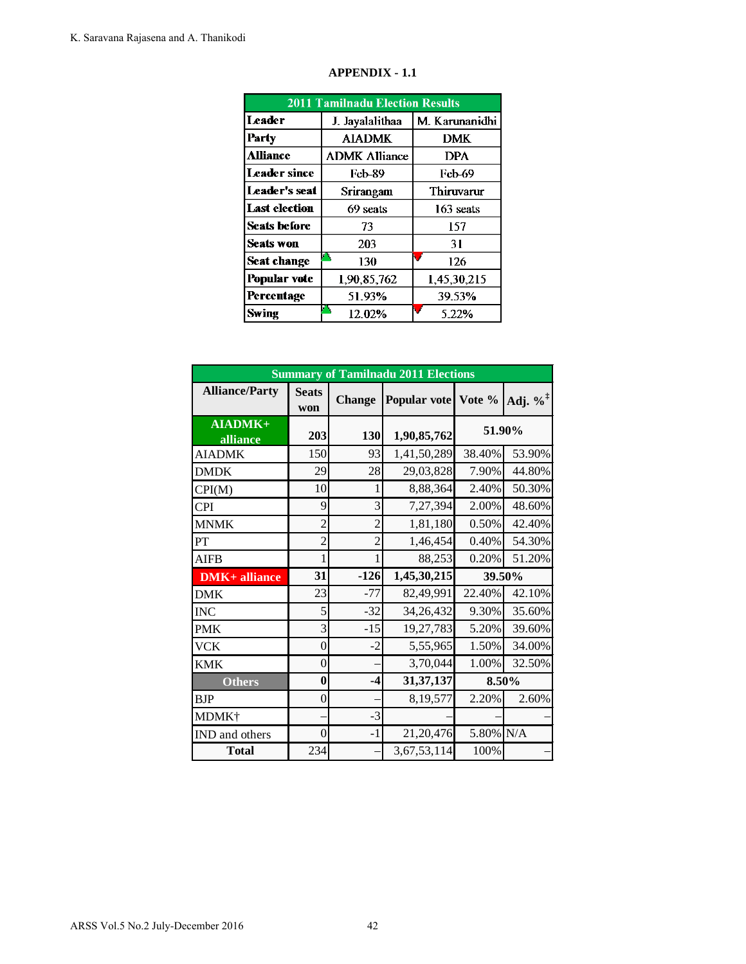|                     | <b>2011 Tamilnadu Election Results</b> |                |
|---------------------|----------------------------------------|----------------|
| <b>Leader</b>       | J. Jayalalithaa                        | M. Karunanidhi |
| Party               | <b>AIADMK</b>                          | <b>DMK</b>     |
| <b>Alliance</b>     | <b>ADMK Alliance</b>                   | <b>DPA</b>     |
| <b>Leader since</b> | Feb-89                                 | <b>Feb-69</b>  |
| Leader's seat       | Srirangam                              | Thiruvarur     |
| Last election       | 69 seats                               | 163 seats      |
| Seats before        | 73                                     | 157            |
| Seats won           | 203                                    | 31             |
| <b>Seat change</b>  | 130                                    | 126            |
| <b>Popular vote</b> | 1,90,85,762                            | 1,45,30,215    |
| Percentage          | 51.93%                                 | 39.53%         |
| Swing               | 12.02%                                 | 5.22%          |

## **APPENDIX - 1.1**

|                                |                      |              | <b>APPENDIX - 1.1</b>                                 |                          |                     |                      |
|--------------------------------|----------------------|--------------|-------------------------------------------------------|--------------------------|---------------------|----------------------|
|                                |                      |              | <b>2011 Tamilnadu Election Results</b>                |                          |                     |                      |
|                                | <b>Leader</b>        |              | J. Jayalalithaa                                       |                          | M. Karunanidhi      |                      |
|                                | Party                |              | <b>AIADMK</b>                                         |                          | <b>DMK</b>          |                      |
|                                | <b>Alliance</b>      |              | <b>ADMK Alliance</b>                                  |                          | <b>DPA</b>          |                      |
|                                | <b>Leader since</b>  |              | <b>Feb-89</b>                                         |                          | Feb-69              |                      |
|                                | <b>Leader's seat</b> |              | Srirangam                                             |                          | Thiruvarur          |                      |
|                                | <b>Last election</b> |              | 69 seats                                              |                          | 163 seats           |                      |
|                                | <b>Seats before</b>  |              | 73                                                    |                          | 157                 |                      |
|                                | <b>Seats won</b>     |              | 203                                                   |                          | 31                  |                      |
|                                | <b>Seat change</b>   |              | Ο,<br>130                                             | V                        | 126                 |                      |
|                                | Popular vote         |              | 1,90,85,762                                           |                          | 1,45,30,215         |                      |
|                                | Percentage           |              | 51.93%                                                |                          | 39.53%              |                      |
|                                | <b>Swing</b>         |              | Ω,<br>12.02%                                          |                          | 5.22%               |                      |
| <b>Alliance/Party</b>          |                      | <b>Seats</b> | <b>Summary of Tamilnadu 2011 Elections</b>            |                          |                     |                      |
|                                |                      | won          | <b>Change</b>                                         |                          | Popular vote Vote % | Adj. $\%^{\ddagger}$ |
| alliance                       | AIADMK+              | 203          | 130                                                   | 1,90,85,762              | 51.90%              |                      |
| <b>AIADMK</b>                  |                      |              |                                                       |                          |                     |                      |
|                                |                      |              | 93                                                    |                          |                     |                      |
|                                |                      | 150<br>29    | 28                                                    | 1,41,50,289              | 38.40%              | 53.90%               |
| <b>DMDK</b>                    |                      |              | 1                                                     | 29,03,828                | 7.90%               | 44.80%               |
| CPI(M)                         |                      | 10           | 9<br>3                                                | 8,88,364                 | 2.40%               | 50.30%               |
| <b>CPI</b>                     |                      |              |                                                       | 7,27,394                 | 2.00%               | 48.60%               |
| <b>MNMK</b>                    |                      |              | $\overline{c}$<br>$\overline{c}$                      | 1,81,180                 | 0.50%<br>0.40%      | 42.40%               |
| PT                             |                      |              | $\overline{c}$<br>$\overline{c}$<br>$\mathbf{1}$<br>1 | 1,46,454                 |                     | 54.30%<br>51.20%     |
| <b>AIFB</b><br>$DMK+$ alliance |                      | 31           | $-126$                                                | 88,253                   | 0.20%<br>39.50%     |                      |
| <b>DMK</b>                     |                      | 23           | $-77$                                                 | 1,45,30,215<br>82,49,991 | 22.40%              | 42.10%               |
| <b>INC</b>                     |                      |              | 5<br>$-32$                                            | 34,26,432                | 9.30%               | 35.60%               |
| <b>PMK</b>                     |                      |              | $\mathfrak{Z}$<br>$-15$                               | 19,27,783                | 5.20%               | 39.60%               |
| <b>VCK</b>                     |                      |              | $\boldsymbol{0}$<br>$-2$                              | 5,55,965                 | 1.50%               | 34.00%               |
| <b>KMK</b>                     |                      |              | $\boldsymbol{0}$                                      | 3,70,044                 | 1.00%               | 32.50%               |
| <b>Others</b>                  |                      |              | $\bf{0}$<br>$-4$                                      | 31, 37, 137              | 8.50%               |                      |
| BJP                            |                      |              | $\boldsymbol{0}$                                      | 8,19,577                 | 2.20%               | 2.60%                |
| MDMK <sup>+</sup>              |                      |              | $-3$                                                  |                          |                     |                      |
| IND and others                 |                      |              | $\boldsymbol{0}$<br>$-1$                              | 21,20,476                | 5.80% N/A           |                      |